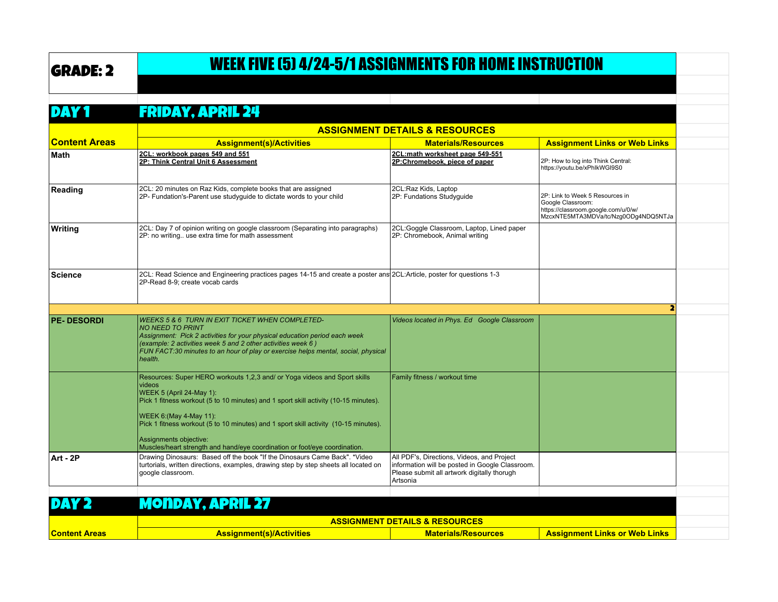## GRADE: 2 WEEK FIVE (5) 4/24-5/1 ASSIGNMENTS FOR HOME INSTRUCTION

DAY 1 Friday, April 24

|                      | <b>ASSIGNMENT DETAILS &amp; RESOURCES</b>                                                                                                                                                                                                                                                                                                                                                                                                 |                                                                                                                                                          |                                                                                                                                     |  |
|----------------------|-------------------------------------------------------------------------------------------------------------------------------------------------------------------------------------------------------------------------------------------------------------------------------------------------------------------------------------------------------------------------------------------------------------------------------------------|----------------------------------------------------------------------------------------------------------------------------------------------------------|-------------------------------------------------------------------------------------------------------------------------------------|--|
| <b>Content Areas</b> | <b>Assignment(s)/Activities</b>                                                                                                                                                                                                                                                                                                                                                                                                           | <b>Materials/Resources</b>                                                                                                                               | <b>Assignment Links or Web Links</b>                                                                                                |  |
| Math                 | 2CL: workbook pages 549 and 551<br>2P: Think Central Unit 6 Assessment                                                                                                                                                                                                                                                                                                                                                                    | 2CL:math worksheet page 549-551<br>2P:Chromebook, piece of paper                                                                                         | 2P: How to log into Think Central:<br>https://youtu.be/xPhlkWGI9S0                                                                  |  |
| Reading              | 2CL: 20 minutes on Raz Kids, complete books that are assigned<br>2P- Fundation's-Parent use studyquide to dictate words to your child                                                                                                                                                                                                                                                                                                     | 2CL:Raz Kids, Laptop<br>2P: Fundations Studyquide                                                                                                        | 2P: Link to Week 5 Resources in<br>Google Classroom:<br>https://classroom.google.com/u/0/w/<br>MzcxNTE5MTA3MDVa/tc/Nzq0ODq4NDQ5NTJa |  |
| <b>Writing</b>       | 2CL: Day 7 of opinion writing on google classroom (Separating into paragraphs)<br>2P: no writing use extra time for math assessment                                                                                                                                                                                                                                                                                                       | 2CL:Goggle Classroom, Laptop, Lined paper<br>2P: Chromebook, Animal writing                                                                              |                                                                                                                                     |  |
| <b>Science</b>       | 2CL: Read Science and Engineering practices pages 14-15 and create a poster ans 2CL: Article, poster for questions 1-3<br>2P-Read 8-9: create vocab cards                                                                                                                                                                                                                                                                                 |                                                                                                                                                          |                                                                                                                                     |  |
|                      |                                                                                                                                                                                                                                                                                                                                                                                                                                           |                                                                                                                                                          | 2                                                                                                                                   |  |
| <b>PE-DESORDI</b>    | <b>WEEKS 5 &amp; 6 TURN IN EXIT TICKET WHEN COMPLETED-</b><br><b>NO NEED TO PRINT</b><br>Assignment: Pick 2 activities for your physical education period each week<br>(example: 2 activities week 5 and 2 other activities week 6)<br>FUN FACT:30 minutes to an hour of play or exercise helps mental, social, physical<br>health.                                                                                                       | Videos located in Phys. Ed Google Classroom                                                                                                              |                                                                                                                                     |  |
|                      | Resources: Super HERO workouts 1,2,3 and/ or Yoga videos and Sport skills<br>videos<br>WEEK 5 (April 24-May 1):<br>Pick 1 fitness workout (5 to 10 minutes) and 1 sport skill activity (10-15 minutes).<br><b>WEEK 6: (May 4-May 11):</b><br>Pick 1 fitness workout (5 to 10 minutes) and 1 sport skill activity (10-15 minutes).<br>Assignments objective:<br>Muscles/heart strength and hand/eye coordination or foot/eye coordination. | Family fitness / workout time                                                                                                                            |                                                                                                                                     |  |
| <b>Art - 2P</b>      | Drawing Dinosaurs: Based off the book "If the Dinosaurs Came Back". *Video<br>turtorials, written directions, examples, drawing step by step sheets all located on<br>google classroom.                                                                                                                                                                                                                                                   | All PDF's, Directions, Videos, and Project<br>information will be posted in Google Classroom.<br>Please submit all artwork digitally thorugh<br>Artsonia |                                                                                                                                     |  |
|                      |                                                                                                                                                                                                                                                                                                                                                                                                                                           |                                                                                                                                                          |                                                                                                                                     |  |
|                      | <b>MONDAY, APRIL 27</b>                                                                                                                                                                                                                                                                                                                                                                                                                   |                                                                                                                                                          |                                                                                                                                     |  |
|                      | <b>ASSIGNMENT DETAILS &amp; RESOURCES</b>                                                                                                                                                                                                                                                                                                                                                                                                 |                                                                                                                                                          |                                                                                                                                     |  |

|                      | ASSIGNMENT DETAILS & RESOURCES  |                            |                                      |  |
|----------------------|---------------------------------|----------------------------|--------------------------------------|--|
| <b>Content Areas</b> | <b>Assignment(s)/Activities</b> | <b>Materials/Resources</b> | <b>Assignment Links or Web Links</b> |  |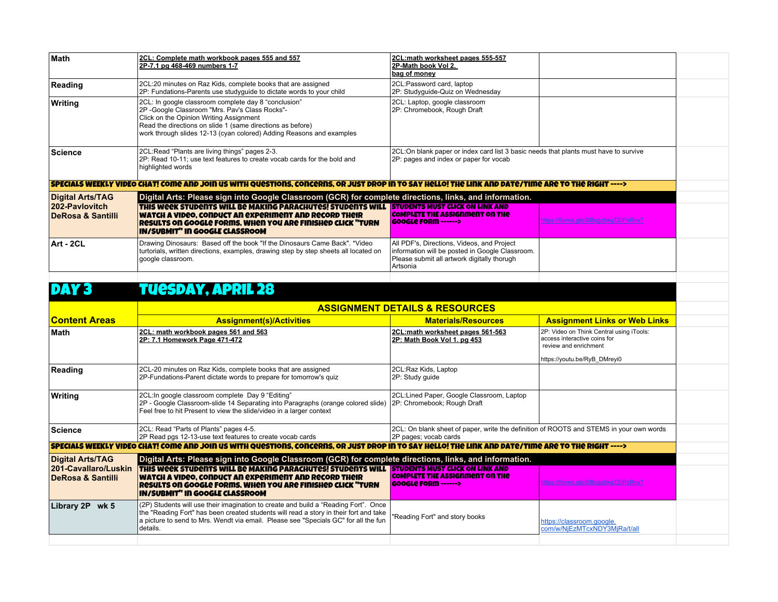| <b>Math</b>                                    | 2CL: Complete math workbook pages 555 and 557<br>2P-7.1 pg 468-469 numbers 1-7                                                                                                                                                                                                          | 2CL:math worksheet pages 555-557<br>2P-Math book Vol 2.<br>bag of money                                                                                  |                                                                                                                                   |  |
|------------------------------------------------|-----------------------------------------------------------------------------------------------------------------------------------------------------------------------------------------------------------------------------------------------------------------------------------------|----------------------------------------------------------------------------------------------------------------------------------------------------------|-----------------------------------------------------------------------------------------------------------------------------------|--|
| Reading                                        | 2CL:20 minutes on Raz Kids, complete books that are assigned<br>2P: Fundations-Parents use studyguide to dictate words to your child                                                                                                                                                    | 2CL:Password card, laptop<br>2P: Studyguide-Quiz on Wednesday                                                                                            |                                                                                                                                   |  |
| Writing                                        | 2CL: In google classroom complete day 8 "conclusion"<br>2P -Google Classroom "Mrs. Pav's Class Rocks"-<br>Click on the Opinion Writing Assignment<br>Read the directions on slide 1 (same directions as before)<br>work through slides 12-13 (cyan colored) Adding Reasons and examples | 2CL: Laptop, google classroom<br>2P: Chromebook, Rough Draft                                                                                             |                                                                                                                                   |  |
| <b>Science</b>                                 | 2CL:Read "Plants are living things" pages 2-3.<br>2P: Read 10-11; use text features to create vocab cards for the bold and<br>highlighted words                                                                                                                                         | 2CL:On blank paper or index card list 3 basic needs that plants must have to survive<br>2P: pages and index or paper for vocab                           |                                                                                                                                   |  |
|                                                | SPECIALS WEEKLY VIDEO CHAT! COME AND JOIN US WITH QUESTIONS, CONCERNS, OR JUST DROP IN TO SAY HELLO! THE LINK AND DATE/TIME ARE TO THE RIGHT ---->                                                                                                                                      |                                                                                                                                                          |                                                                                                                                   |  |
| <b>Digital Arts/TAG</b>                        | Digital Arts: Please sign into Google Classroom (GCR) for complete directions, links, and information.                                                                                                                                                                                  |                                                                                                                                                          |                                                                                                                                   |  |
| 202-Paylovitch<br><b>DeRosa &amp; Santilli</b> | THIS WEEK STUDENTS WILL BE MAKING PARACHUTES! STUDENTS WILL STUDENTS MUST CLICK ON LINK AND<br>WATCH A VIDEO, CONDUCT AN EXPERIMENT AND RECORD THEIR<br><b>Results on Google Forms, When You are FINISHED CLICK "TURN</b><br><b>IN/SUBMIT" IN GOOGLE CLASSROOM</b>                      | <b>COMPLETE THE ASSIGNMENT ON THE</b><br><b>GOOGLE FORM ------&gt;</b>                                                                                   | <u> https://forms.gle/XBugzbkq7ZrPsRvv7</u>                                                                                       |  |
| Art - 2CL                                      | Drawing Dinosaurs: Based off the book "If the Dinosaurs Came Back". *Video<br>turtorials, written directions, examples, drawing step by step sheets all located on<br>google classroom.                                                                                                 | All PDF's, Directions, Videos, and Project<br>information will be posted in Google Classroom.<br>Please submit all artwork digitally thorugh<br>Artsonia |                                                                                                                                   |  |
| DAY 3                                          | <b>TUESDAY, APRIL 28</b>                                                                                                                                                                                                                                                                |                                                                                                                                                          |                                                                                                                                   |  |
|                                                | <b>ASSIGNMENT DETAILS &amp; RESOURCES</b>                                                                                                                                                                                                                                               |                                                                                                                                                          |                                                                                                                                   |  |
| <b>Content Areas</b>                           | <b>Assignment(s)/Activities</b>                                                                                                                                                                                                                                                         | <b>Materials/Resources</b>                                                                                                                               | <b>Assignment Links or Web Links</b>                                                                                              |  |
| <b>Math</b>                                    | 2CL: math workbook pages 561 and 563<br>2P: 7.1 Homework Page 471-472                                                                                                                                                                                                                   | 2CL:math worksheet pages 561-563<br>2P: Math Book Vol 1. pg 453                                                                                          | 2P: Video on Think Central using iTools:<br>access interactive coins for<br>review and enrichment<br>https://youtu.be/RyB DMreyi0 |  |
| Reading                                        | 2CL-20 minutes on Raz Kids, complete books that are assigned<br>2P-Fundations-Parent dictate words to prepare for tomorrow's quiz                                                                                                                                                       | 2CL:Raz Kids, Laptop<br>2P: Study guide                                                                                                                  |                                                                                                                                   |  |
| Writing                                        | 2CL: In google classroom complete Day 9 "Editing"<br>2P - Google Classroom-slide 14 Separating into Paragraphs (orange colored slide)<br>Feel free to hit Present to view the slide/video in a larger context                                                                           | 2CL:Lined Paper, Google Classroom, Laptop<br>2P: Chromebook; Rough Draft                                                                                 |                                                                                                                                   |  |
| <b>Science</b>                                 | 2CL: Read "Parts of Plants" pages 4-5.<br>2P Read pgs 12-13-use text features to create vocab cards                                                                                                                                                                                     | 2CL: On blank sheet of paper, write the definition of ROOTS and STEMS in your own words<br>2P pages; vocab cards                                         |                                                                                                                                   |  |
|                                                | SPECIALS WEEKLY VIDEO CHAT! COME AND JOIN US WITH QUESTIONS, CONCERNS, OR JUST DROP IN TO SAY HELLO! THE LINK AND DATE/TIME ARE TO THE RIGHT ---->                                                                                                                                      |                                                                                                                                                          |                                                                                                                                   |  |
| <b>Digital Arts/TAG</b>                        | Digital Arts: Please sign into Google Classroom (GCR) for complete directions, links, and information.                                                                                                                                                                                  |                                                                                                                                                          |                                                                                                                                   |  |
| 201-Cavallaro/Luskin<br>DeRosa & Santilli      | THIS WEEK STUDENTS WILL BE MAKING PARACHUTES! STUDENTS WILL <b>STUDENTS MUST CLICK ON LINK AND</b><br>WATCH A VIDEO, CONDUCT AN EXPERIMENT AND RECORD THEIR<br>Results on Google Forms, when you are finished click "TURN<br><b>IN/SUBMIT" IN GOOGLE CLASSROOM</b>                      | <b>COMPLETE THE ASSIGNMENT ON THE</b><br><b>GOOGLE FORM ------&gt;</b>                                                                                   | https://forms.gle/XBugzbkg7ZrPsRvv7                                                                                               |  |
| Library 2P wk 5                                | (2P) Students will use their imagination to create and build a "Reading Fort". Once<br>the "Reading Fort" has been created students will read a story in their fort and take                                                                                                            |                                                                                                                                                          |                                                                                                                                   |  |
|                                                | a picture to send to Mrs. Wendt via email. Please see "Specials GC" for all the fun<br>details.                                                                                                                                                                                         | "Reading Fort" and story books                                                                                                                           | https://classroom.google.<br>com/w/NjEzMTcxNDY3MjRa/t/all                                                                         |  |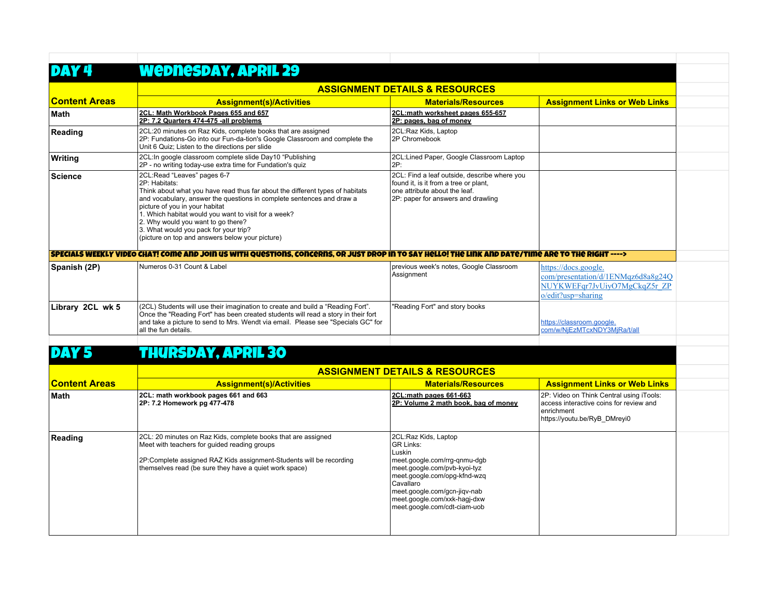|                      | Wednesday, April 29                                                                                                                                                                                                                                                                                                                                                                                                                |                                                                                                                                                                                                                                                                 |                                                                                                                                   |  |
|----------------------|------------------------------------------------------------------------------------------------------------------------------------------------------------------------------------------------------------------------------------------------------------------------------------------------------------------------------------------------------------------------------------------------------------------------------------|-----------------------------------------------------------------------------------------------------------------------------------------------------------------------------------------------------------------------------------------------------------------|-----------------------------------------------------------------------------------------------------------------------------------|--|
|                      |                                                                                                                                                                                                                                                                                                                                                                                                                                    | <b>ASSIGNMENT DETAILS &amp; RESOURCES</b>                                                                                                                                                                                                                       |                                                                                                                                   |  |
| <b>Content Areas</b> | <b>Assignment(s)/Activities</b>                                                                                                                                                                                                                                                                                                                                                                                                    | <b>Materials/Resources</b>                                                                                                                                                                                                                                      | <b>Assignment Links or Web Links</b>                                                                                              |  |
| <b>Math</b>          | 2CL: Math Workbook Pages 655 and 657<br>2P: 7.2 Quarters 474-475 -all problems                                                                                                                                                                                                                                                                                                                                                     | 2CL:math worksheet pages 655-657<br>2P: pages, bag of money                                                                                                                                                                                                     |                                                                                                                                   |  |
| Reading              | 2CL:20 minutes on Raz Kids, complete books that are assigned<br>2P: Fundations-Go into our Fun-da-tion's Google Classroom and complete the<br>Unit 6 Quiz: Listen to the directions per slide                                                                                                                                                                                                                                      | 2CL:Raz Kids, Laptop<br>2P Chromebook                                                                                                                                                                                                                           |                                                                                                                                   |  |
| Writing              | 2CL: In google classroom complete slide Day10 "Publishing<br>2P - no writing today-use extra time for Fundation's quiz                                                                                                                                                                                                                                                                                                             | 2CL:Lined Paper, Google Classroom Laptop<br>2P:                                                                                                                                                                                                                 |                                                                                                                                   |  |
| <b>Science</b>       | 2CL:Read "Leaves" pages 6-7<br>2P: Habitats:<br>Think about what you have read thus far about the different types of habitats<br>and vocabulary, answer the questions in complete sentences and draw a<br>picture of you in your habitat<br>1. Which habitat would you want to visit for a week?<br>2. Why would you want to go there?<br>3. What would you pack for your trip?<br>(picture on top and answers below your picture) | 2CL: Find a leaf outside, describe where you<br>found it, is it from a tree or plant,<br>one attribute about the leaf.<br>2P: paper for answers and drawling                                                                                                    |                                                                                                                                   |  |
|                      | SPECIALS WEEKLY VIDEO CHAT! COMO AND JOIN US WITH QUOSTIONS. CONCORNS. OR JUST DROP IN TO SAY HOLLO! THO LINK AND DATO/TIMO ARO TO THO RIGHT ---->                                                                                                                                                                                                                                                                                 |                                                                                                                                                                                                                                                                 |                                                                                                                                   |  |
| Spanish (2P)         | Numeros 0-31 Count & Label                                                                                                                                                                                                                                                                                                                                                                                                         | previous week's notes, Google Classroom<br>Assignment                                                                                                                                                                                                           | https://docs.google.<br>com/presentation/d/1ENMqz6d8a8g24Q<br>NUYKWEFqr7JvUiyO7MgCkqZ5r ZP<br>$o$ /edit?usp=sharing               |  |
| Library 2CL wk 5     | (2CL) Students will use their imagination to create and build a "Reading Fort".<br>Once the "Reading Fort" has been created students will read a story in their fort<br>and take a picture to send to Mrs. Wendt via email. Please see "Specials GC" for<br>all the fun details.                                                                                                                                                   | "Reading Fort" and story books                                                                                                                                                                                                                                  | https://classroom.google.<br>com/w/NjEzMTcxNDY3MjRa/t/all                                                                         |  |
|                      | <b>THURSDAY, APRIL 30</b>                                                                                                                                                                                                                                                                                                                                                                                                          |                                                                                                                                                                                                                                                                 |                                                                                                                                   |  |
|                      | <b>ASSIGNMENT DETAILS &amp; RESOURCES</b>                                                                                                                                                                                                                                                                                                                                                                                          |                                                                                                                                                                                                                                                                 |                                                                                                                                   |  |
| <b>Content Areas</b> | <b>Assignment(s)/Activities</b>                                                                                                                                                                                                                                                                                                                                                                                                    | <b>Materials/Resources</b>                                                                                                                                                                                                                                      | <b>Assignment Links or Web Links</b>                                                                                              |  |
| <b>Math</b>          | 2CL: math workbook pages 661 and 663<br>2P: 7.2 Homework pg 477-478                                                                                                                                                                                                                                                                                                                                                                | 2CL:math pages 661-663<br>2P: Volume 2 math book, bag of money                                                                                                                                                                                                  | 2P: Video on Think Central using iTools:<br>access interactive coins for review and<br>enrichment<br>https://youtu.be/RyB DMreyi0 |  |
| Reading              | 2CL: 20 minutes on Raz Kids, complete books that are assigned<br>Meet with teachers for guided reading groups<br>2P:Complete assigned RAZ Kids assignment-Students will be recording<br>themselves read (be sure they have a quiet work space)                                                                                                                                                                                     | 2CL:Raz Kids, Laptop<br><b>GR Links:</b><br>Luskin<br>meet.google.com/rrg-gnmu-dgb<br>meet.google.com/pvb-kyoi-tyz<br>meet.google.com/opg-kfnd-wzq<br>Cavallaro<br>meet.google.com/gcn-jigv-nab<br>meet.google.com/xxk-hagj-dxw<br>meet.google.com/cdt-ciam-uob |                                                                                                                                   |  |